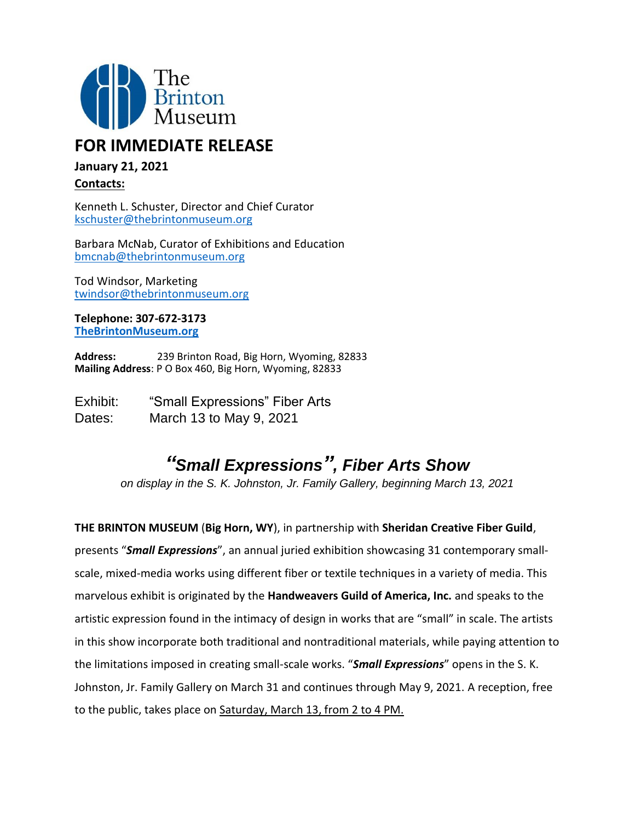

## **FOR IMMEDIATE RELEASE**

**January 21, 2021 Contacts:**

Kenneth L. Schuster, Director and Chief Curator kschuster@thebrintonmuseum.org

Barbara McNab, Curator of Exhibitions and Education bmcnab@thebrintonmuseum.org

Tod Windsor, Marketing twindsor@thebrintonmuseum.org

**Telephone: 307-672-3173 TheBrintonMuseum.org**

**Address:** 239 Brinton Road, Big Horn, Wyoming, 82833 **Mailing Address**: P O Box 460, Big Horn, Wyoming, 82833

Exhibit: "Small Expressions" Fiber Arts Dates: March 13 to May 9, 2021

## *"Small Expressions", Fiber Arts Show*

*on display in the S. K. Johnston, Jr. Family Gallery, beginning March 13, 2021*

**THE BRINTON MUSEUM** (**Big Horn, WY**), in partnership with **Sheridan Creative Fiber Guild**, presents "*Small Expressions*", an annual juried exhibition showcasing 31 contemporary smallscale, mixed-media works using different fiber or textile techniques in a variety of media. This marvelous exhibit is originated by the **Handweavers Guild of America, Inc.** and speaks to the artistic expression found in the intimacy of design in works that are "small" in scale. The artists in this show incorporate both traditional and nontraditional materials, while paying attention to the limitations imposed in creating small-scale works. "*Small Expressions*" opens in the S. K. Johnston, Jr. Family Gallery on March 31 and continues through May 9, 2021. A reception, free to the public, takes place on Saturday, March 13, from 2 to 4 PM.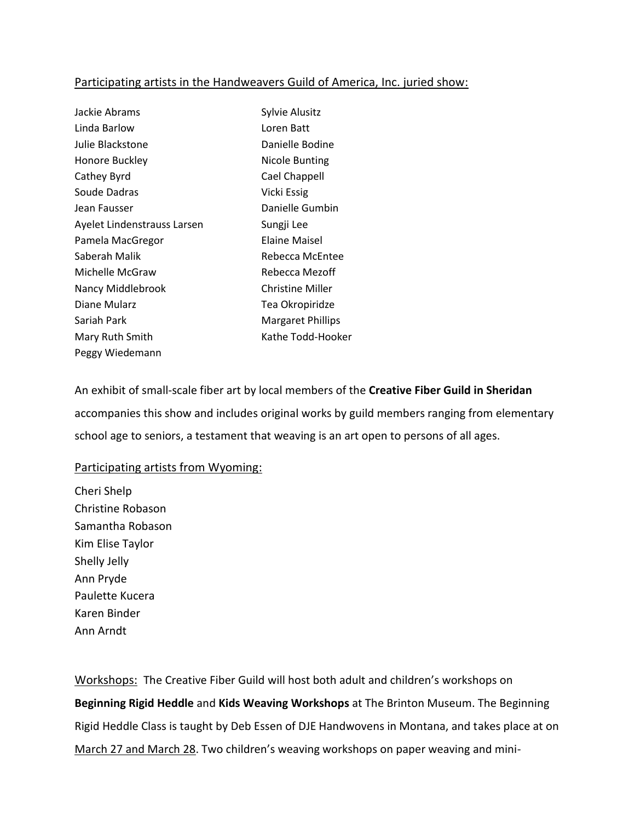## Participating artists in the Handweavers Guild of America, Inc. juried show:

| Jackie Abrams               | Sylvie Alusitz           |
|-----------------------------|--------------------------|
| Linda Barlow                | Loren Batt               |
| Julie Blackstone            | Danielle Bodine          |
| Honore Buckley              | Nicole Bunting           |
| Cathey Byrd                 | Cael Chappell            |
| Soude Dadras                | Vicki Essig              |
| Jean Fausser                | Danielle Gumbin          |
| Ayelet Lindenstrauss Larsen | Sungji Lee               |
| Pamela MacGregor            | Elaine Maisel            |
| Saberah Malik               | Rebecca McEntee          |
| Michelle McGraw             | Rebecca Mezoff           |
| Nancy Middlebrook           | <b>Christine Miller</b>  |
| Diane Mularz                | Tea Okropiridze          |
| Sariah Park                 | <b>Margaret Phillips</b> |
| Mary Ruth Smith             | Kathe Todd-Hooker        |
| Peggy Wiedemann             |                          |

An exhibit of small-scale fiber art by local members of the **Creative Fiber Guild in Sheridan** accompanies this show and includes original works by guild members ranging from elementary school age to seniors, a testament that weaving is an art open to persons of all ages.

## Participating artists from Wyoming:

Cheri Shelp Christine Robason Samantha Robason Kim Elise Taylor Shelly Jelly Ann Pryde Paulette Kucera Karen Binder Ann Arndt

Workshops: The Creative Fiber Guild will host both adult and children's workshops on **Beginning Rigid Heddle** and **Kids Weaving Workshops** at The Brinton Museum. The Beginning Rigid Heddle Class is taught by Deb Essen of DJE Handwovens in Montana, and takes place at on March 27 and March 28. Two children's weaving workshops on paper weaving and mini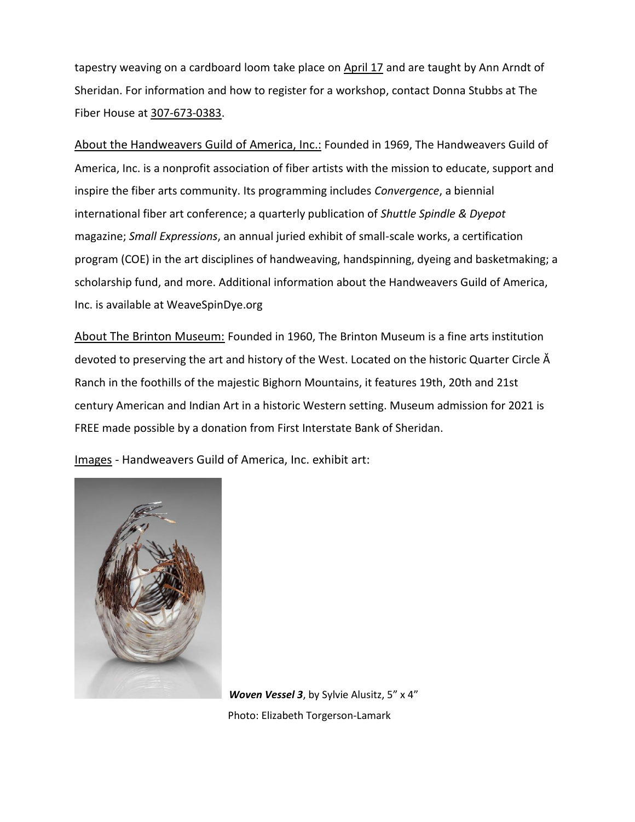tapestry weaving on a cardboard loom take place on April 17 and are taught by Ann Arndt of Sheridan. For information and how to register for a workshop, contact Donna Stubbs at The Fiber House at 307-673-0383.

About the Handweavers Guild of America, Inc.: Founded in 1969, The Handweavers Guild of America, Inc. is a nonprofit association of fiber artists with the mission to educate, support and inspire the fiber arts community. Its programming includes *Convergence*, a biennial international fiber art conference; a quarterly publication of *Shuttle Spindle & Dyepot* magazine; *Small Expressions*, an annual juried exhibit of small-scale works, a certification program (COE) in the art disciplines of handweaving, handspinning, dyeing and basketmaking; a scholarship fund, and more. Additional information about the Handweavers Guild of America, Inc. is available at WeaveSpinDye.org

About The Brinton Museum: Founded in 1960, The Brinton Museum is a fine arts institution devoted to preserving the art and history of the West. Located on the historic Quarter Circle Ă Ranch in the foothills of the majestic Bighorn Mountains, it features 19th, 20th and 21st century American and Indian Art in a historic Western setting. Museum admission for 2021 is FREE made possible by a donation from First Interstate Bank of Sheridan.

Images - Handweavers Guild of America, Inc. exhibit art:



 *Woven Vessel 3*, by Sylvie Alusitz, 5" x 4" Photo: Elizabeth Torgerson-Lamark